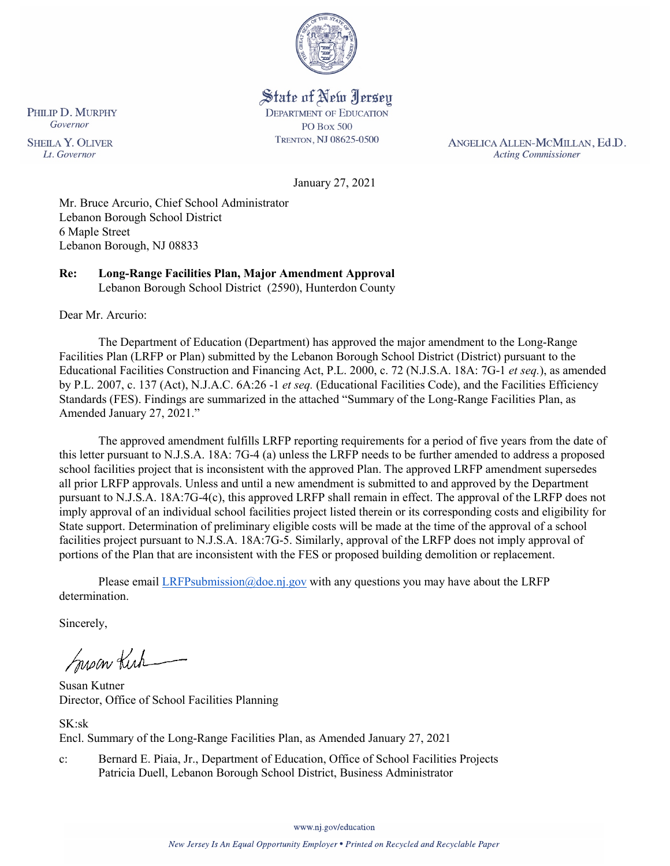

# State of New Jersey

**DEPARTMENT OF EDUCATION PO Box 500** TRENTON, NJ 08625-0500

ANGELICA ALLEN-MCMILLAN, Ed.D. **Acting Commissioner** 

January 27, 2021

Mr. Bruce Arcurio, Chief School Administrator Lebanon Borough School District 6 Maple Street Lebanon Borough, NJ 08833

**Re: Long-Range Facilities Plan, Major Amendment Approval**  Lebanon Borough School District (2590), Hunterdon County

Dear Mr. Arcurio:

The Department of Education (Department) has approved the major amendment to the Long-Range Facilities Plan (LRFP or Plan) submitted by the Lebanon Borough School District (District) pursuant to the Educational Facilities Construction and Financing Act, P.L. 2000, c. 72 (N.J.S.A. 18A: 7G-1 *et seq.*), as amended by P.L. 2007, c. 137 (Act), N.J.A.C. 6A:26 -1 *et seq.* (Educational Facilities Code), and the Facilities Efficiency Standards (FES). Findings are summarized in the attached "Summary of the Long-Range Facilities Plan, as Amended January 27, 2021."

The approved amendment fulfills LRFP reporting requirements for a period of five years from the date of this letter pursuant to N.J.S.A. 18A: 7G-4 (a) unless the LRFP needs to be further amended to address a proposed school facilities project that is inconsistent with the approved Plan. The approved LRFP amendment supersedes all prior LRFP approvals. Unless and until a new amendment is submitted to and approved by the Department pursuant to N.J.S.A. 18A:7G-4(c), this approved LRFP shall remain in effect. The approval of the LRFP does not imply approval of an individual school facilities project listed therein or its corresponding costs and eligibility for State support. Determination of preliminary eligible costs will be made at the time of the approval of a school facilities project pursuant to N.J.S.A. 18A:7G-5. Similarly, approval of the LRFP does not imply approval of portions of the Plan that are inconsistent with the FES or proposed building demolition or replacement.

Please email [LRFPsubmission@doe.nj.gov](mailto:LRFPsubmission@doe.nj.gov) with any questions you may have about the LRFP determination.

Sincerely,

Susan Kich

Susan Kutner Director, Office of School Facilities Planning

SK:sk Encl. Summary of the Long-Range Facilities Plan, as Amended January 27, 2021

c: Bernard E. Piaia, Jr., Department of Education, Office of School Facilities Projects Patricia Duell, Lebanon Borough School District, Business Administrator

www.nj.gov/education

PHILIP D. MURPHY Governor

**SHEILA Y. OLIVER** Lt. Governor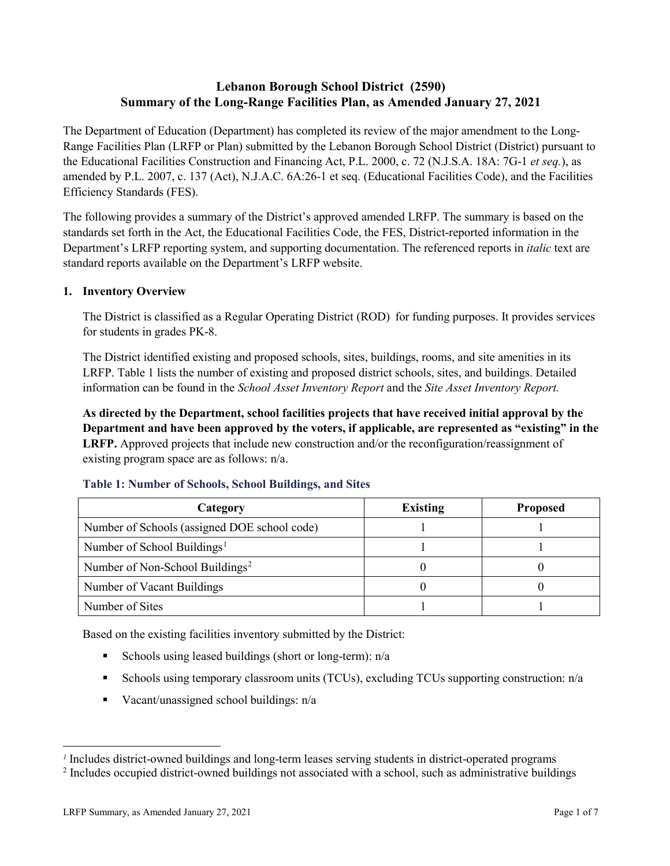## **Lebanon Borough School District (2590) Summary of the Long-Range Facilities Plan, as Amended January 27, 2021**

The Department of Education (Department) has completed its review of the major amendment to the Long-Range Facilities Plan (LRFP or Plan) submitted by the Lebanon Borough School District (District) pursuant to the Educational Facilities Construction and Financing Act, P.L. 2000, c. 72 (N.J.S.A. 18A: 7G-1 *et seq.*), as amended by P.L. 2007, c. 137 (Act), N.J.A.C. 6A:26-1 et seq. (Educational Facilities Code), and the Facilities Efficiency Standards (FES).

The following provides a summary of the District's approved amended LRFP. The summary is based on the standards set forth in the Act, the Educational Facilities Code, the FES, District-reported information in the Department's LRFP reporting system, and supporting documentation. The referenced reports in *italic* text are standard reports available on the Department's LRFP website.

#### **1. Inventory Overview**

The District is classified as a Regular Operating District (ROD) for funding purposes. It provides services for students in grades PK-8.

The District identified existing and proposed schools, sites, buildings, rooms, and site amenities in its LRFP. Table 1 lists the number of existing and proposed district schools, sites, and buildings. Detailed information can be found in the *School Asset Inventory Report* and the *Site Asset Inventory Report.*

**As directed by the Department, school facilities projects that have received initial approval by the Department and have been approved by the voters, if applicable, are represented as "existing" in the LRFP.** Approved projects that include new construction and/or the reconfiguration/reassignment of existing program space are as follows: n/a.

| Category                                     | <b>Existing</b> | <b>Proposed</b> |
|----------------------------------------------|-----------------|-----------------|
| Number of Schools (assigned DOE school code) |                 |                 |
| Number of School Buildings <sup>1</sup>      |                 |                 |
| Number of Non-School Buildings <sup>2</sup>  |                 |                 |
| Number of Vacant Buildings                   |                 |                 |
| Number of Sites                              |                 |                 |

#### **Table 1: Number of Schools, School Buildings, and Sites**

Based on the existing facilities inventory submitted by the District:

- Schools using leased buildings (short or long-term):  $n/a$
- Schools using temporary classroom units (TCUs), excluding TCUs supporting construction: n/a
- Vacant/unassigned school buildings:  $n/a$

 $\overline{a}$ 

<span id="page-1-1"></span><span id="page-1-0"></span>*<sup>1</sup>* Includes district-owned buildings and long-term leases serving students in district-operated programs

<sup>&</sup>lt;sup>2</sup> Includes occupied district-owned buildings not associated with a school, such as administrative buildings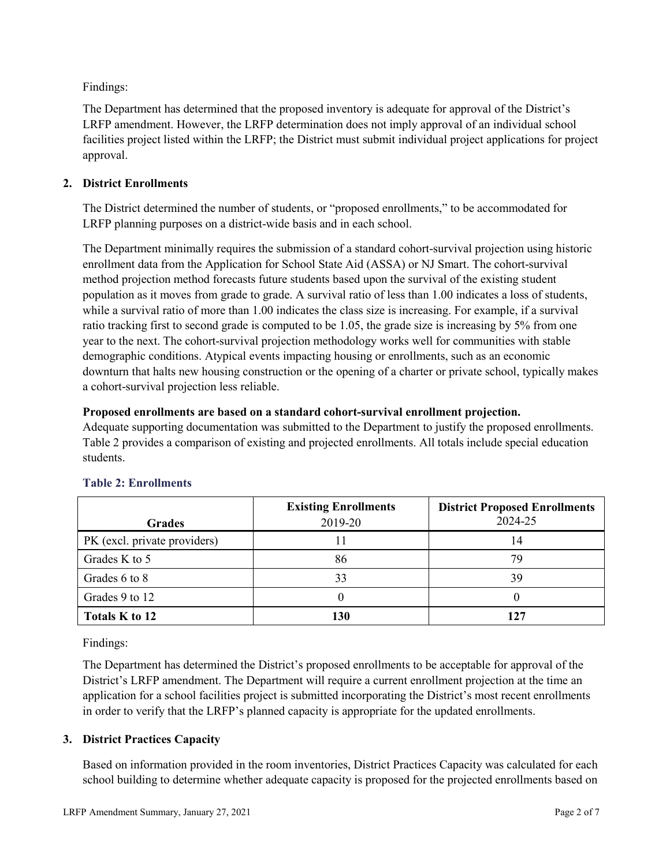Findings:

The Department has determined that the proposed inventory is adequate for approval of the District's LRFP amendment. However, the LRFP determination does not imply approval of an individual school facilities project listed within the LRFP; the District must submit individual project applications for project approval.

## **2. District Enrollments**

The District determined the number of students, or "proposed enrollments," to be accommodated for LRFP planning purposes on a district-wide basis and in each school.

The Department minimally requires the submission of a standard cohort-survival projection using historic enrollment data from the Application for School State Aid (ASSA) or NJ Smart. The cohort-survival method projection method forecasts future students based upon the survival of the existing student population as it moves from grade to grade. A survival ratio of less than 1.00 indicates a loss of students, while a survival ratio of more than 1.00 indicates the class size is increasing. For example, if a survival ratio tracking first to second grade is computed to be 1.05, the grade size is increasing by 5% from one year to the next. The cohort-survival projection methodology works well for communities with stable demographic conditions. Atypical events impacting housing or enrollments, such as an economic downturn that halts new housing construction or the opening of a charter or private school, typically makes a cohort-survival projection less reliable.

## **Proposed enrollments are based on a standard cohort-survival enrollment projection.**

Adequate supporting documentation was submitted to the Department to justify the proposed enrollments. Table 2 provides a comparison of existing and projected enrollments. All totals include special education students.

|                              | <b>Existing Enrollments</b> | <b>District Proposed Enrollments</b> |
|------------------------------|-----------------------------|--------------------------------------|
| <b>Grades</b>                | 2019-20                     | 2024-25                              |
| PK (excl. private providers) |                             | 14                                   |
| Grades K to 5                | 86                          | 79                                   |
| Grades 6 to 8                | 33                          | 39                                   |
| Grades 9 to 12               |                             |                                      |
| Totals K to 12               | 130                         | 127                                  |

## **Table 2: Enrollments**

Findings:

The Department has determined the District's proposed enrollments to be acceptable for approval of the District's LRFP amendment. The Department will require a current enrollment projection at the time an application for a school facilities project is submitted incorporating the District's most recent enrollments in order to verify that the LRFP's planned capacity is appropriate for the updated enrollments.

## **3. District Practices Capacity**

Based on information provided in the room inventories, District Practices Capacity was calculated for each school building to determine whether adequate capacity is proposed for the projected enrollments based on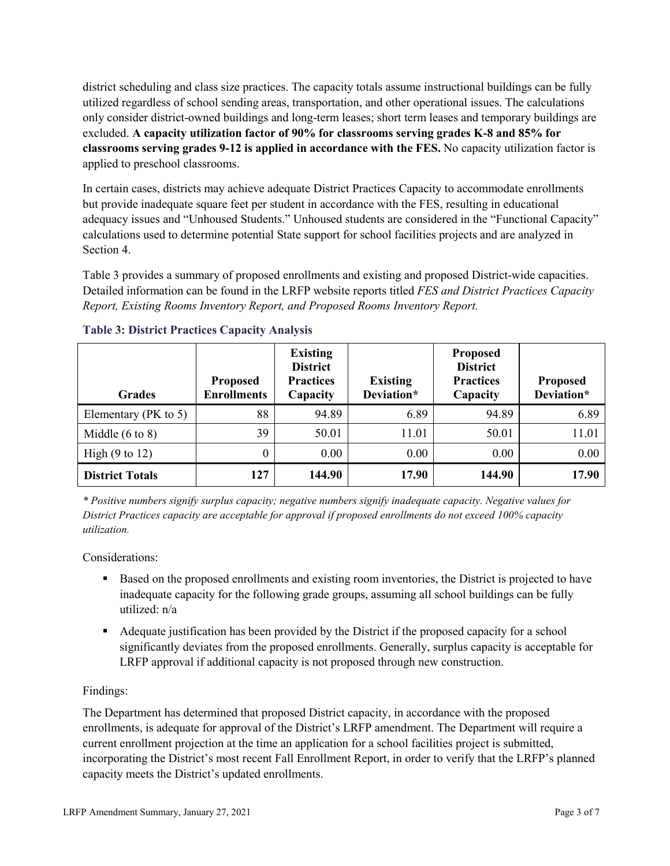district scheduling and class size practices. The capacity totals assume instructional buildings can be fully utilized regardless of school sending areas, transportation, and other operational issues. The calculations only consider district-owned buildings and long-term leases; short term leases and temporary buildings are excluded. **A capacity utilization factor of 90% for classrooms serving grades K-8 and 85% for classrooms serving grades 9-12 is applied in accordance with the FES.** No capacity utilization factor is applied to preschool classrooms.

In certain cases, districts may achieve adequate District Practices Capacity to accommodate enrollments but provide inadequate square feet per student in accordance with the FES, resulting in educational adequacy issues and "Unhoused Students." Unhoused students are considered in the "Functional Capacity" calculations used to determine potential State support for school facilities projects and are analyzed in Section 4.

Table 3 provides a summary of proposed enrollments and existing and proposed District-wide capacities. Detailed information can be found in the LRFP website reports titled *FES and District Practices Capacity Report, Existing Rooms Inventory Report, and Proposed Rooms Inventory Report.*

| <b>Grades</b>              | <b>Proposed</b><br><b>Enrollments</b> | <b>Existing</b><br><b>District</b><br><b>Practices</b><br>Capacity | <b>Existing</b><br>Deviation* | <b>Proposed</b><br><b>District</b><br><b>Practices</b><br>Capacity | <b>Proposed</b><br>Deviation* |
|----------------------------|---------------------------------------|--------------------------------------------------------------------|-------------------------------|--------------------------------------------------------------------|-------------------------------|
| Elementary ( $PK$ to 5)    | 88                                    | 94.89                                                              | 6.89                          | 94.89                                                              | 6.89                          |
| Middle $(6 \text{ to } 8)$ | 39                                    | 50.01                                                              | 11.01                         | 50.01                                                              | 11.01                         |
| High $(9 \text{ to } 12)$  | 0                                     | 0.00                                                               | 0.00                          | 0.00                                                               | 0.00                          |
| <b>District Totals</b>     | 127                                   | 144.90                                                             | 17.90                         | 144.90                                                             | 17.90                         |

## **Table 3: District Practices Capacity Analysis**

*\* Positive numbers signify surplus capacity; negative numbers signify inadequate capacity. Negative values for District Practices capacity are acceptable for approval if proposed enrollments do not exceed 100% capacity utilization.*

Considerations:

- Based on the proposed enrollments and existing room inventories, the District is projected to have inadequate capacity for the following grade groups, assuming all school buildings can be fully utilized: n/a
- Adequate justification has been provided by the District if the proposed capacity for a school significantly deviates from the proposed enrollments. Generally, surplus capacity is acceptable for LRFP approval if additional capacity is not proposed through new construction.

## Findings:

The Department has determined that proposed District capacity, in accordance with the proposed enrollments, is adequate for approval of the District's LRFP amendment. The Department will require a current enrollment projection at the time an application for a school facilities project is submitted, incorporating the District's most recent Fall Enrollment Report, in order to verify that the LRFP's planned capacity meets the District's updated enrollments.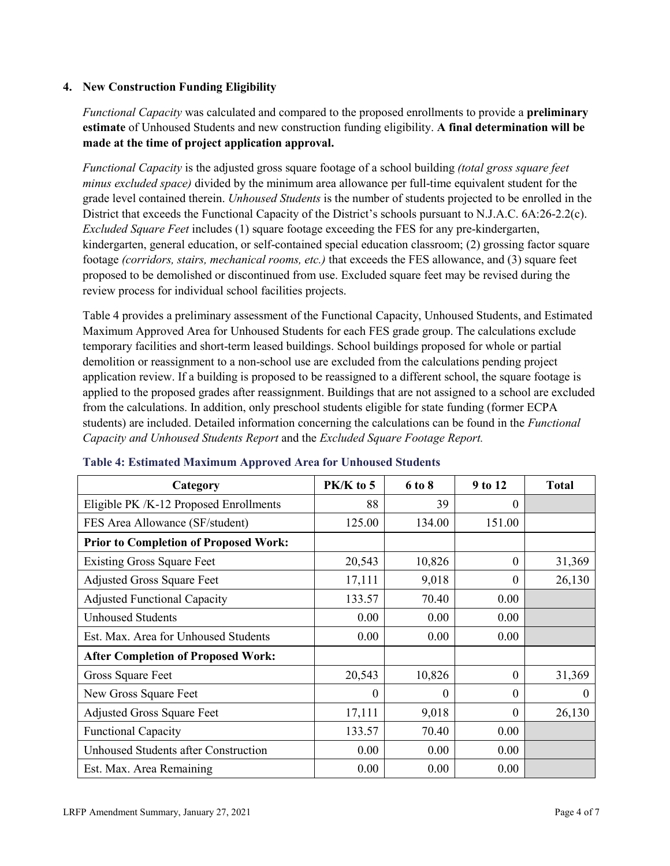### **4. New Construction Funding Eligibility**

*Functional Capacity* was calculated and compared to the proposed enrollments to provide a **preliminary estimate** of Unhoused Students and new construction funding eligibility. **A final determination will be made at the time of project application approval.**

*Functional Capacity* is the adjusted gross square footage of a school building *(total gross square feet minus excluded space)* divided by the minimum area allowance per full-time equivalent student for the grade level contained therein. *Unhoused Students* is the number of students projected to be enrolled in the District that exceeds the Functional Capacity of the District's schools pursuant to N.J.A.C. 6A:26-2.2(c). *Excluded Square Feet* includes (1) square footage exceeding the FES for any pre-kindergarten, kindergarten, general education, or self-contained special education classroom; (2) grossing factor square footage *(corridors, stairs, mechanical rooms, etc.)* that exceeds the FES allowance, and (3) square feet proposed to be demolished or discontinued from use. Excluded square feet may be revised during the review process for individual school facilities projects.

Table 4 provides a preliminary assessment of the Functional Capacity, Unhoused Students, and Estimated Maximum Approved Area for Unhoused Students for each FES grade group. The calculations exclude temporary facilities and short-term leased buildings. School buildings proposed for whole or partial demolition or reassignment to a non-school use are excluded from the calculations pending project application review. If a building is proposed to be reassigned to a different school, the square footage is applied to the proposed grades after reassignment. Buildings that are not assigned to a school are excluded from the calculations. In addition, only preschool students eligible for state funding (former ECPA students) are included. Detailed information concerning the calculations can be found in the *Functional Capacity and Unhoused Students Report* and the *Excluded Square Footage Report.*

| Category                                     | PK/K to 5 | 6 to 8 | 9 to 12  | <b>Total</b> |
|----------------------------------------------|-----------|--------|----------|--------------|
| Eligible PK /K-12 Proposed Enrollments       | 88        | 39     | 0        |              |
| FES Area Allowance (SF/student)              | 125.00    | 134.00 | 151.00   |              |
| <b>Prior to Completion of Proposed Work:</b> |           |        |          |              |
| <b>Existing Gross Square Feet</b>            | 20,543    | 10,826 | $\Omega$ | 31,369       |
| <b>Adjusted Gross Square Feet</b>            | 17,111    | 9,018  | $\theta$ | 26,130       |
| <b>Adjusted Functional Capacity</b>          | 133.57    | 70.40  | 0.00     |              |
| <b>Unhoused Students</b>                     | 0.00      | 0.00   | 0.00     |              |
| Est. Max. Area for Unhoused Students         | 0.00      | 0.00   | 0.00     |              |
| <b>After Completion of Proposed Work:</b>    |           |        |          |              |
| Gross Square Feet                            | 20,543    | 10,826 | $\theta$ | 31,369       |
| New Gross Square Feet                        | $\theta$  | 0      | $\theta$ | $\Omega$     |
| <b>Adjusted Gross Square Feet</b>            | 17,111    | 9,018  | $\Omega$ | 26,130       |
| <b>Functional Capacity</b>                   | 133.57    | 70.40  | 0.00     |              |
| Unhoused Students after Construction         | 0.00      | 0.00   | 0.00     |              |
| Est. Max. Area Remaining                     | 0.00      | 0.00   | 0.00     |              |

#### **Table 4: Estimated Maximum Approved Area for Unhoused Students**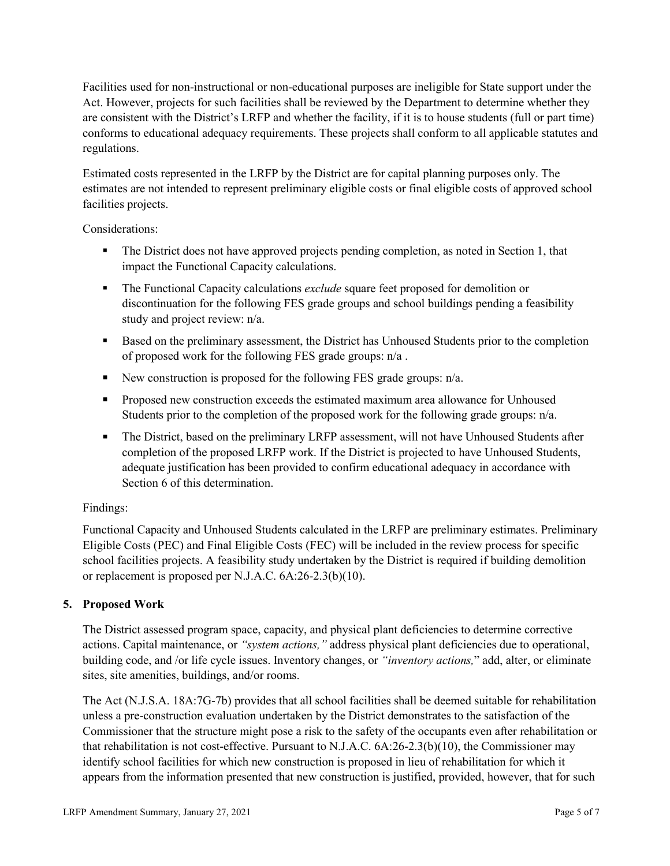Facilities used for non-instructional or non-educational purposes are ineligible for State support under the Act. However, projects for such facilities shall be reviewed by the Department to determine whether they are consistent with the District's LRFP and whether the facility, if it is to house students (full or part time) conforms to educational adequacy requirements. These projects shall conform to all applicable statutes and regulations.

Estimated costs represented in the LRFP by the District are for capital planning purposes only. The estimates are not intended to represent preliminary eligible costs or final eligible costs of approved school facilities projects.

Considerations:

- The District does not have approved projects pending completion, as noted in Section 1, that impact the Functional Capacity calculations.
- **The Functional Capacity calculations** *exclude* square feet proposed for demolition or discontinuation for the following FES grade groups and school buildings pending a feasibility study and project review: n/a.
- **Based on the preliminary assessment, the District has Unhoused Students prior to the completion** of proposed work for the following FES grade groups: n/a .
- New construction is proposed for the following FES grade groups: n/a.
- Proposed new construction exceeds the estimated maximum area allowance for Unhoused Students prior to the completion of the proposed work for the following grade groups: n/a.
- The District, based on the preliminary LRFP assessment, will not have Unhoused Students after completion of the proposed LRFP work. If the District is projected to have Unhoused Students, adequate justification has been provided to confirm educational adequacy in accordance with Section 6 of this determination.

## Findings:

Functional Capacity and Unhoused Students calculated in the LRFP are preliminary estimates. Preliminary Eligible Costs (PEC) and Final Eligible Costs (FEC) will be included in the review process for specific school facilities projects. A feasibility study undertaken by the District is required if building demolition or replacement is proposed per N.J.A.C. 6A:26-2.3(b)(10).

## **5. Proposed Work**

The District assessed program space, capacity, and physical plant deficiencies to determine corrective actions. Capital maintenance, or *"system actions,"* address physical plant deficiencies due to operational, building code, and /or life cycle issues. Inventory changes, or *"inventory actions,*" add, alter, or eliminate sites, site amenities, buildings, and/or rooms.

The Act (N.J.S.A. 18A:7G-7b) provides that all school facilities shall be deemed suitable for rehabilitation unless a pre-construction evaluation undertaken by the District demonstrates to the satisfaction of the Commissioner that the structure might pose a risk to the safety of the occupants even after rehabilitation or that rehabilitation is not cost-effective. Pursuant to N.J.A.C. 6A:26-2.3(b)(10), the Commissioner may identify school facilities for which new construction is proposed in lieu of rehabilitation for which it appears from the information presented that new construction is justified, provided, however, that for such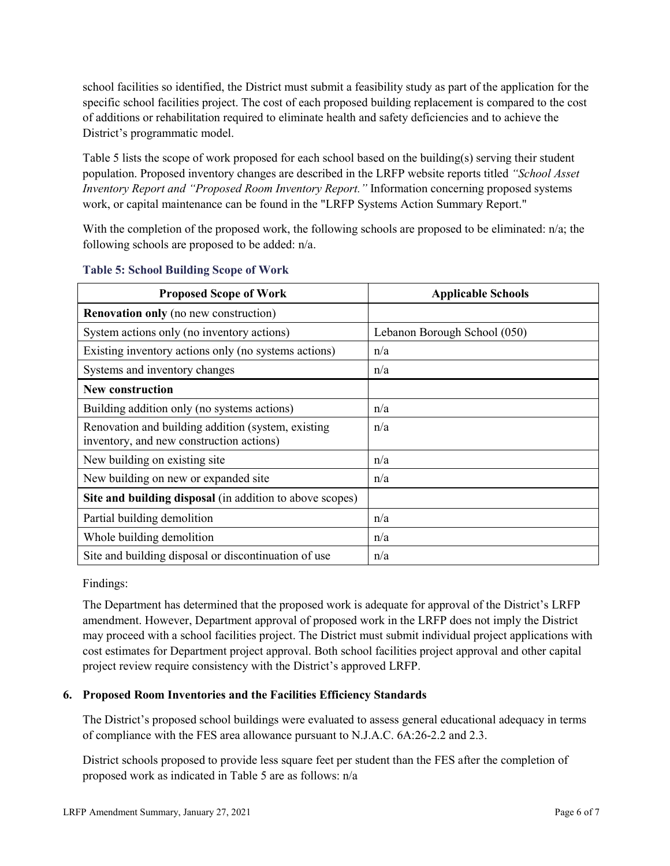school facilities so identified, the District must submit a feasibility study as part of the application for the specific school facilities project. The cost of each proposed building replacement is compared to the cost of additions or rehabilitation required to eliminate health and safety deficiencies and to achieve the District's programmatic model.

Table 5 lists the scope of work proposed for each school based on the building(s) serving their student population. Proposed inventory changes are described in the LRFP website reports titled *"School Asset Inventory Report and "Proposed Room Inventory Report."* Information concerning proposed systems work, or capital maintenance can be found in the "LRFP Systems Action Summary Report."

With the completion of the proposed work, the following schools are proposed to be eliminated: n/a; the following schools are proposed to be added: n/a.

| <b>Proposed Scope of Work</b>                                                                  | <b>Applicable Schools</b>    |
|------------------------------------------------------------------------------------------------|------------------------------|
| <b>Renovation only</b> (no new construction)                                                   |                              |
| System actions only (no inventory actions)                                                     | Lebanon Borough School (050) |
| Existing inventory actions only (no systems actions)                                           | n/a                          |
| Systems and inventory changes                                                                  | n/a                          |
| <b>New construction</b>                                                                        |                              |
| Building addition only (no systems actions)                                                    | n/a                          |
| Renovation and building addition (system, existing<br>inventory, and new construction actions) | n/a                          |
| New building on existing site                                                                  | n/a                          |
| New building on new or expanded site                                                           | n/a                          |
| Site and building disposal (in addition to above scopes)                                       |                              |
| Partial building demolition                                                                    | n/a                          |
| Whole building demolition                                                                      | n/a                          |
| Site and building disposal or discontinuation of use                                           | n/a                          |

#### **Table 5: School Building Scope of Work**

Findings:

The Department has determined that the proposed work is adequate for approval of the District's LRFP amendment. However, Department approval of proposed work in the LRFP does not imply the District may proceed with a school facilities project. The District must submit individual project applications with cost estimates for Department project approval. Both school facilities project approval and other capital project review require consistency with the District's approved LRFP.

## **6. Proposed Room Inventories and the Facilities Efficiency Standards**

The District's proposed school buildings were evaluated to assess general educational adequacy in terms of compliance with the FES area allowance pursuant to N.J.A.C. 6A:26-2.2 and 2.3.

District schools proposed to provide less square feet per student than the FES after the completion of proposed work as indicated in Table 5 are as follows: n/a